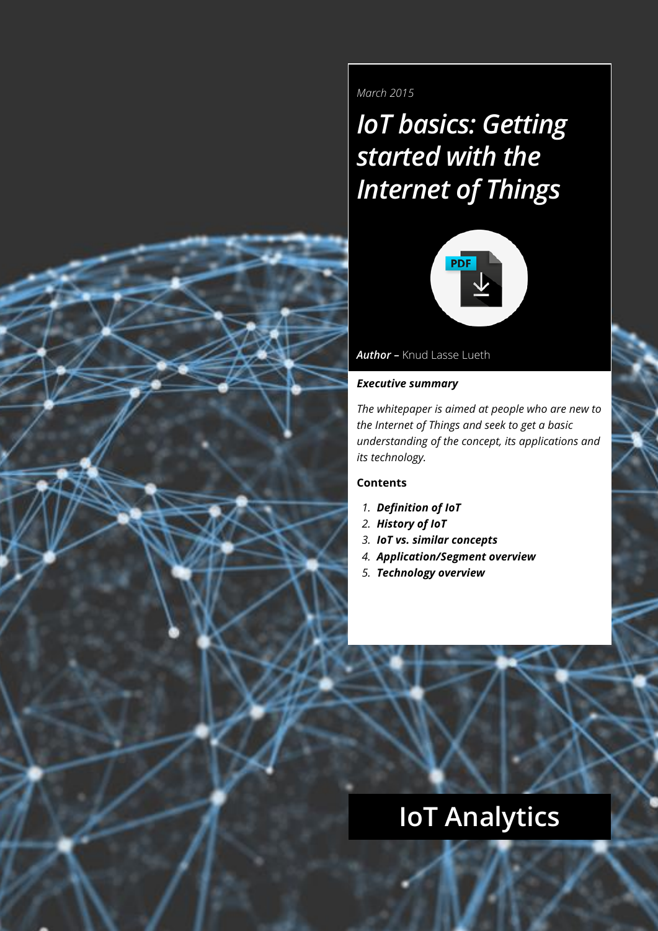

#### *March 2015*

*IoT basics: Getting started with the Internet of Things*



*Author –* Knud Lasse Lueth

#### *Executive summary*

*The whitepaper is aimed at people who are new to the Internet of Things and seek to get a basic understanding of the concept, its applications and its technology.*

#### **Contents**

- *1. Definition of IoT*
- *2. History of IoT*
- *3. IoT vs. similar concepts*
- *4. Application/Segment overview*
- *5. Technology overview*

# **IoT Analytics**

P a g e | **0**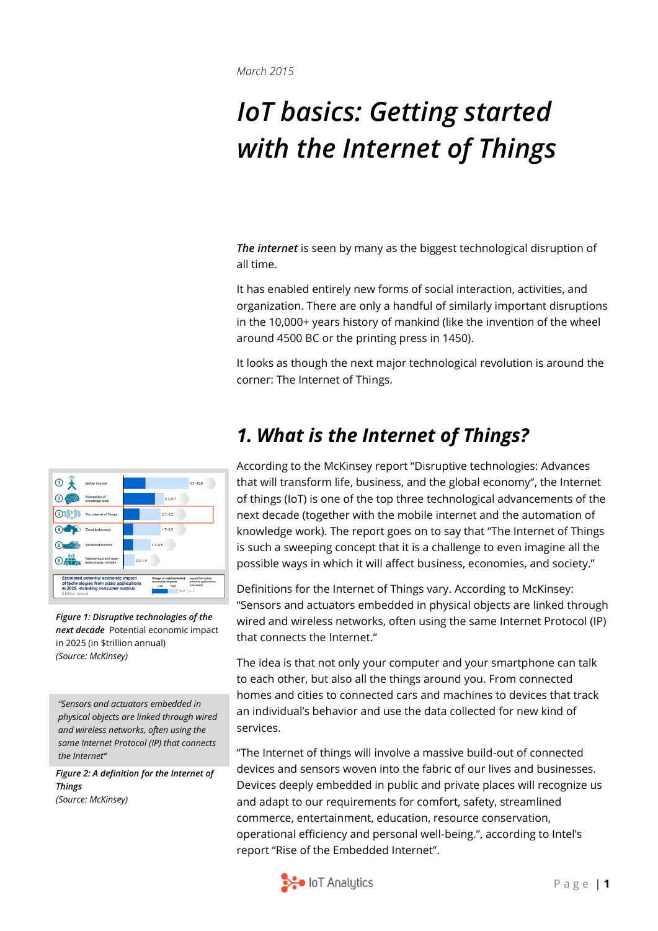*March 2015*

# *IoT basics: Getting started with the Internet of Things*

*The internet* is seen by many as the biggest technological disruption of all time.

It has enabled entirely new forms of social interaction, activities, and organization. There are only a handful of similarly important disruptions in the 10,000+ years history of mankind (like the invention of the wheel around 4500 BC or the printing press in 1450).

It looks as though the next major technological revolution is around the corner: The Internet of Things.



According to the McKinsey report "Disruptive technologies: Advances that will transform life, business, and the global economy", the Internet of things (IoT) is one of the top three technological advancements of the next decade (together with the mobile internet and the automation of knowledge work). The report goes on to say that "The Internet of Things is such a sweeping concept that it is a challenge to even imagine all the possible ways in which it will affect business, economies, and society."

Definitions for the Internet of Things vary. According to McKinsey: "Sensors and actuators embedded in physical objects are linked through wired and wireless networks, often using the same Internet Protocol (IP) that connects the Internet."

The idea is that not only your computer and your smartphone can talk to each other, but also all the things around you. From connected homes and cities to connected cars and machines to devices that track an individual's behavior and use the data collected for new kind of services.

"The Internet of things will involve a massive build-out of connected devices and sensors woven into the fabric of our lives and businesses. Devices deeply embedded in public and private places will recognize us and adapt to our requirements for comfort, safety, streamlined commerce, entertainment, education, resource conservation, operational efficiency and personal well-being.", according to Intel's report "Rise of the Embedded Internet".





*Figure 1: Disruptive technologies of the next decade* Potential economic impact in 2025 (in \$trillion annual) *(Source: McKinsey)*

*"Sensors and actuators embedded in physical objects are linked through wired and wireless networks, often using the same Internet Protocol (IP) that connects the Internet"*

*Figure 2: A definition for the Internet of Things (Source: McKinsey)*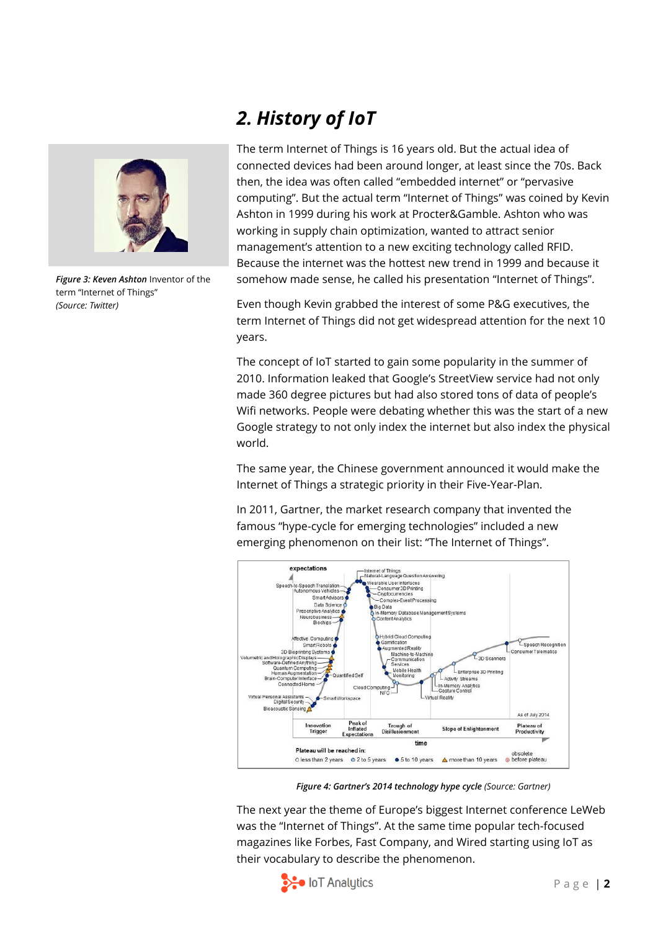

**Figure 3: Keven Ashton Inventor of the** term "Internet of Things" *(Source: Twitter)*

## *2. History of IoT*

The term Internet of Things is 16 years old. But the actual idea of connected devices had been around longer, at least since the 70s. Back then, the idea was often called "embedded internet" or "pervasive computing". But the actual term "Internet of Things" was coined by Kevin Ashton in 1999 during his work at Procter&Gamble. Ashton who was working in supply chain optimization, wanted to attract senior management's attention to a new exciting technology called RFID. Because the internet was the hottest new trend in 1999 and because it somehow made sense, he called his presentation "Internet of Things".

Even though Kevin grabbed the interest of some P&G executives, the term Internet of Things did not get widespread attention for the next 10 years.

The concept of IoT started to gain some popularity in the summer of 2010. Information leaked that Google's StreetView service had not only made 360 degree pictures but had also stored tons of data of people's Wifi networks. People were debating whether this was the start of a new Google strategy to not only index the internet but also index the physical world.

The same year, the Chinese government announced it would make the Internet of Things a strategic priority in their Five-Year-Plan.

In 2011, Gartner, the market research company that invented the famous "hype-cycle for emerging technologies" included a new emerging phenomenon on their list: "The Internet of Things".



*Figure 4: Gartner's 2014 technology hype cycle (Source: Gartner)*

The next year the theme of Europe's biggest Internet conference LeWeb was the "Internet of Things". At the same time popular tech-focused magazines like Forbes, Fast Company, and Wired starting using IoT as their vocabulary to describe the phenomenon.

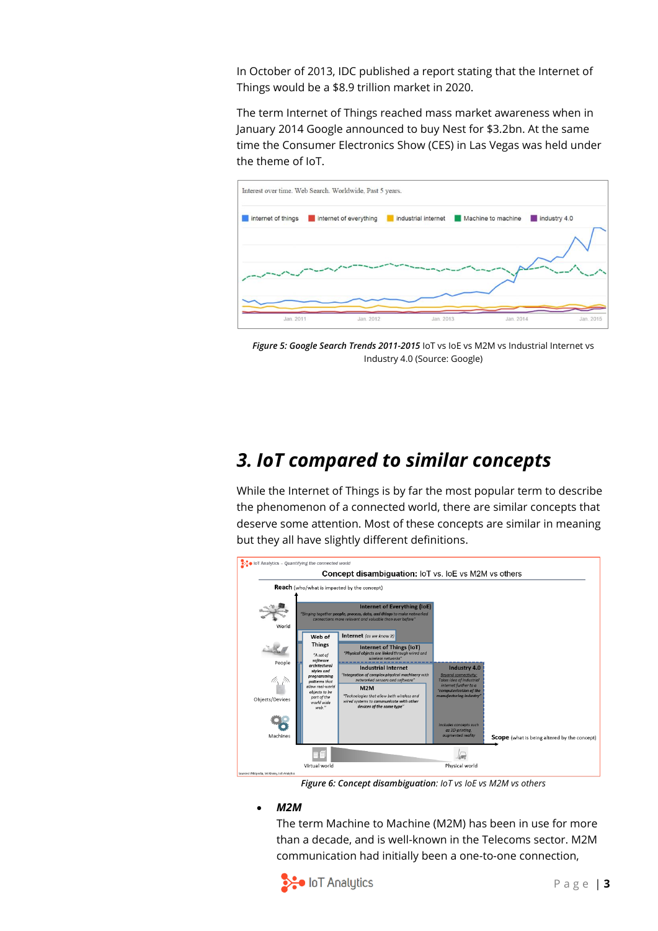In October of 2013, IDC published a report stating that the Internet of Things would be a \$8.9 trillion market in 2020.

The term Internet of Things reached mass market awareness when in January 2014 Google announced to buy Nest for \$3.2bn. At the same time the Consumer Electronics Show (CES) in Las Vegas was held under the theme of IoT.



*Figure 5: Google Search Trends 2011-2015* IoT vs IoE vs M2M vs Industrial Internet vs Industry 4.0 (Source: Google)

### *3. IoT compared to similar concepts*

While the Internet of Things is by far the most popular term to describe the phenomenon of a connected world, there are similar concepts that deserve some attention. Most of these concepts are similar in meaning but they all have slightly different definitions.



*Figure 6: Concept disambiguation: IoT vs IoE vs M2M vs others*

*M2M* 

The term Machine to Machine (M2M) has been in use for more than a decade, and is well-known in the Telecoms sector. M2M communication had initially been a one-to-one connection,

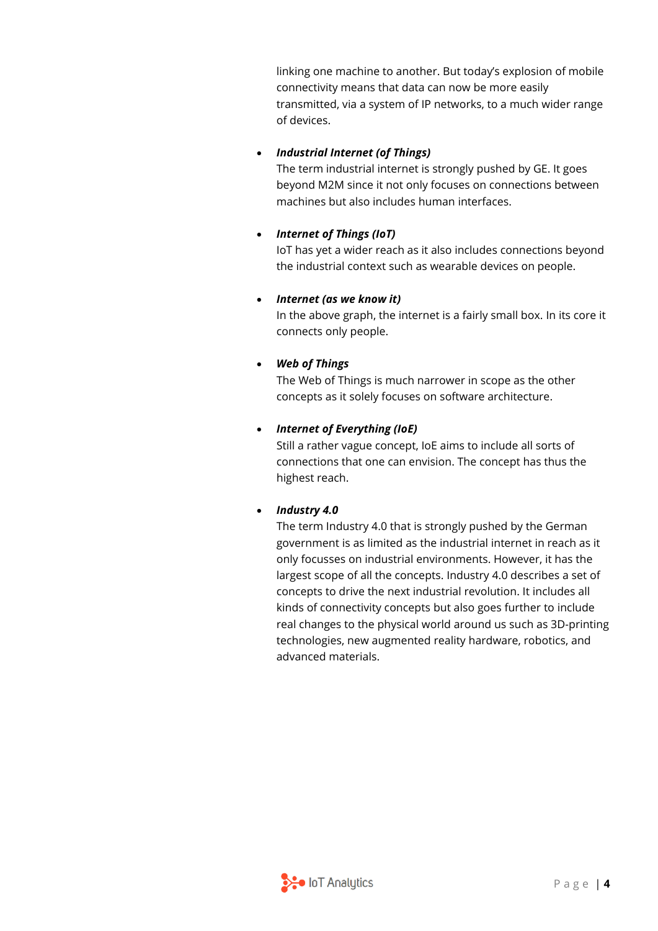linking one machine to another. But today's explosion of mobile connectivity means that data can now be more easily transmitted, via a system of IP networks, to a much wider range of devices.

#### *Industrial Internet (of Things)*

The term industrial internet is strongly pushed by GE. It goes beyond M2M since it not only focuses on connections between machines but also includes human interfaces.

#### *Internet of Things (IoT)*

IoT has yet a wider reach as it also includes connections beyond the industrial context such as wearable devices on people.

#### *Internet (as we know it)*

In the above graph, the internet is a fairly small box. In its core it connects only people.

#### *Web of Things*

The Web of Things is much narrower in scope as the other concepts as it solely focuses on software architecture.

#### *Internet of Everything (IoE)*

Still a rather vague concept, IoE aims to include all sorts of connections that one can envision. The concept has thus the highest reach.

#### *Industry 4.0*

The term Industry 4.0 that is strongly pushed by the German government is as limited as the industrial internet in reach as it only focusses on industrial environments. However, it has the largest scope of all the concepts. Industry 4.0 describes a set of concepts to drive the next industrial revolution. It includes all kinds of connectivity concepts but also goes further to include real changes to the physical world around us such as 3D-printing technologies, new augmented reality hardware, robotics, and advanced materials.

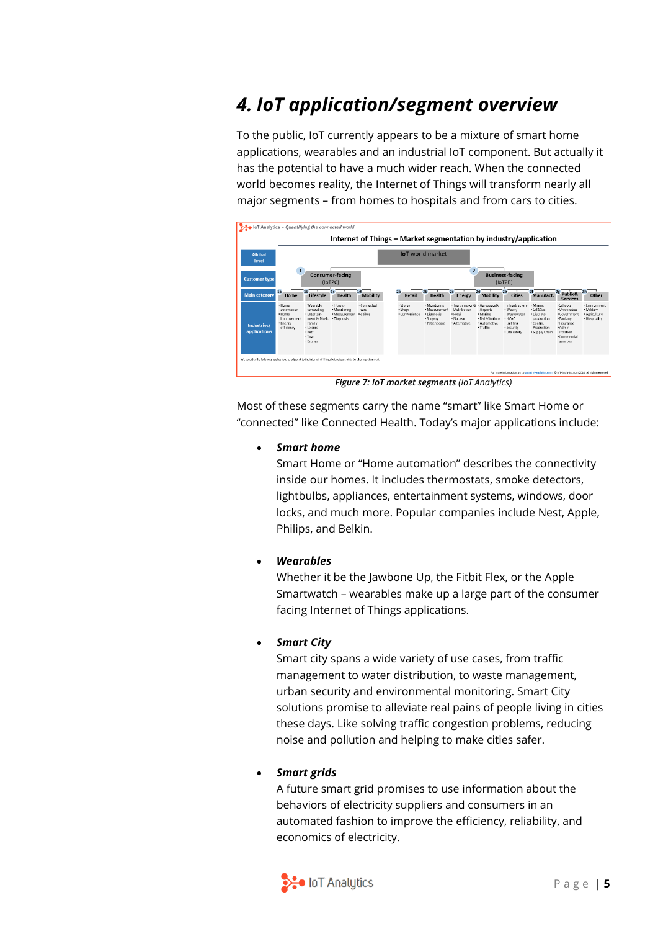## *4. IoT application/segment overview*

To the public, IoT currently appears to be a mixture of smart home applications, wearables and an industrial IoT component. But actually it has the potential to have a much wider reach. When the connected world becomes reality, the Internet of Things will transform nearly all major segments – from homes to hospitals and from cars to cities.



*Figure 7: IoT market segments (IoT Analytics)*

Most of these segments carry the name "smart" like Smart Home or "connected" like Connected Health. Today's major applications include:

#### *Smart home*

Smart Home or "Home automation" describes the connectivity inside our homes. It includes thermostats, smoke detectors, lightbulbs, appliances, entertainment systems, windows, door locks, and much more. Popular companies include Nest, Apple, Philips, and Belkin.

*Wearables*

Whether it be the Jawbone Up, the Fitbit Flex, or the Apple Smartwatch – wearables make up a large part of the consumer facing Internet of Things applications.

#### *Smart City*

Smart city spans a wide variety of use cases, from traffic management to water distribution, to waste management, urban security and environmental monitoring. Smart City solutions promise to alleviate real pains of people living in cities these days. Like solving traffic congestion problems, reducing noise and pollution and helping to make cities safer.

#### *Smart grids*

A future smart grid promises to use information about the behaviors of electricity suppliers and consumers in an automated fashion to improve the efficiency, reliability, and economics of electricity.

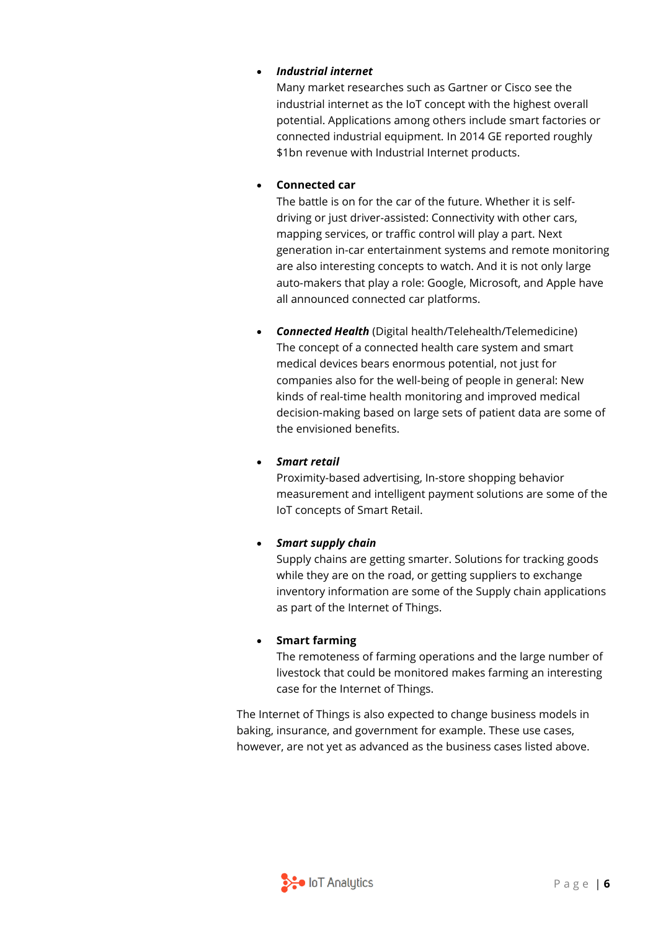#### *Industrial internet*

Many market researches such as Gartner or Cisco see the industrial internet as the IoT concept with the highest overall potential. Applications among others include smart factories or connected industrial equipment. In 2014 GE reported roughly \$1bn revenue with Industrial Internet products.

#### **Connected car**

The battle is on for the car of the future. Whether it is selfdriving or just driver-assisted: Connectivity with other cars, mapping services, or traffic control will play a part. Next generation in-car entertainment systems and remote monitoring are also interesting concepts to watch. And it is not only large auto-makers that play a role: Google, Microsoft, and Apple have all announced connected car platforms.

 *Connected Health* (Digital health/Telehealth/Telemedicine) The concept of a connected health care system and smart medical devices bears enormous potential, not just for companies also for the well-being of people in general: New kinds of real-time health monitoring and improved medical decision-making based on large sets of patient data are some of the envisioned benefits.

#### *Smart retail*

Proximity-based advertising, In-store shopping behavior measurement and intelligent payment solutions are some of the IoT concepts of Smart Retail.

#### *Smart supply chain*

Supply chains are getting smarter. Solutions for tracking goods while they are on the road, or getting suppliers to exchange inventory information are some of the Supply chain applications as part of the Internet of Things.

#### **Smart farming**

The remoteness of farming operations and the large number of livestock that could be monitored makes farming an interesting case for the Internet of Things.

The Internet of Things is also expected to change business models in baking, insurance, and government for example. These use cases, however, are not yet as advanced as the business cases listed above.

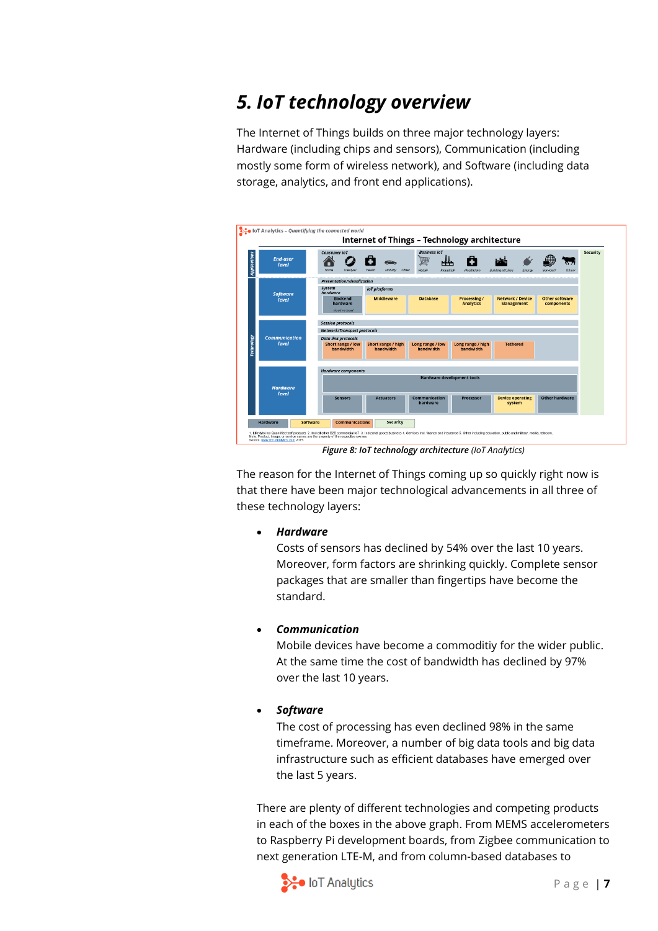## *5. IoT technology overview*

The Internet of Things builds on three major technology layers: Hardware (including chips and sensors), Communication (including mostly some form of wireless network), and Software (including data storage, analytics, and front end applications).



*Figure 8: IoT technology architecture (IoT Analytics)*

The reason for the Internet of Things coming up so quickly right now is that there have been major technological advancements in all three of these technology layers:

#### *Hardware*

Costs of sensors has declined by 54% over the last 10 years. Moreover, form factors are shrinking quickly. Complete sensor packages that are smaller than fingertips have become the standard.

#### *Communication*

Mobile devices have become a commoditiy for the wider public. At the same time the cost of bandwidth has declined by 97% over the last 10 years.

#### *Software*

The cost of processing has even declined 98% in the same timeframe. Moreover, a number of big data tools and big data infrastructure such as efficient databases have emerged over the last 5 years.

There are plenty of different technologies and competing products in each of the boxes in the above graph. From MEMS accelerometers to Raspberry Pi development boards, from Zigbee communication to next generation LTE-M, and from column-based databases to

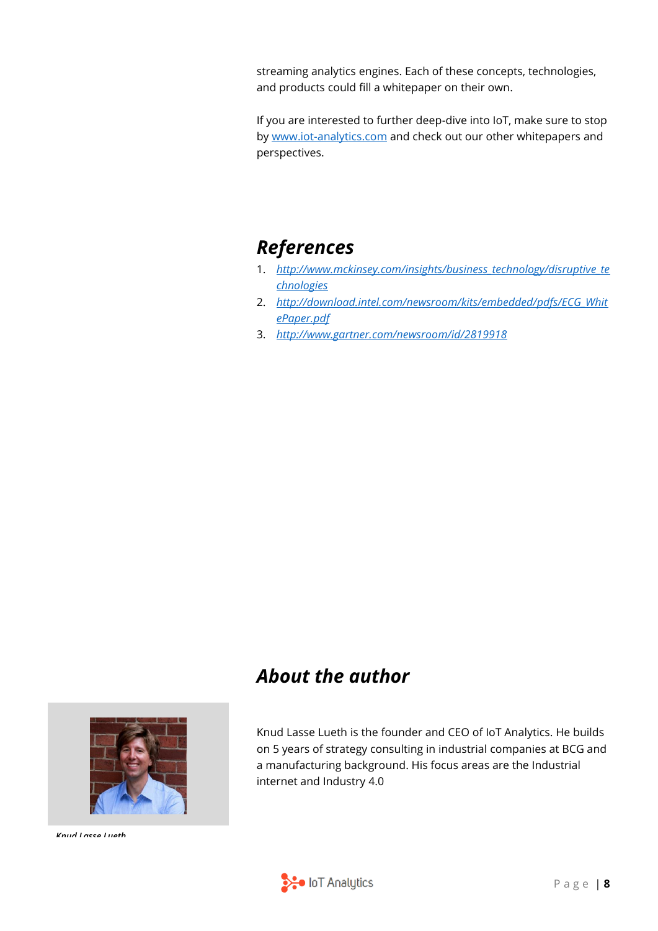streaming analytics engines. Each of these concepts, technologies, and products could fill a whitepaper on their own.

If you are interested to further deep-dive into IoT, make sure to stop by [www.iot-analytics.com](http://www.iot-analytics.com/) and check out our other whitepapers and perspectives.

### *References*

- 1. *[http://www.mckinsey.com/insights/business\\_technology/disruptive\\_te](http://www.mckinsey.com/insights/business_technology/disruptive_technologies) [chnologies](http://www.mckinsey.com/insights/business_technology/disruptive_technologies)*
- 2. *[http://download.intel.com/newsroom/kits/embedded/pdfs/ECG\\_Whit](http://download.intel.com/newsroom/kits/embedded/pdfs/ECG_WhitePaper.pdf) [ePaper.pdf](http://download.intel.com/newsroom/kits/embedded/pdfs/ECG_WhitePaper.pdf)*
- 3. *<http://www.gartner.com/newsroom/id/2819918>*

### *About the author*

Knud Lasse Lueth is the founder and CEO of IoT Analytics. He builds on 5 years of strategy consulting in industrial companies at BCG and a manufacturing background. His focus areas are the Industrial internet and Industry 4.0



*Knud Lasse Lueth*